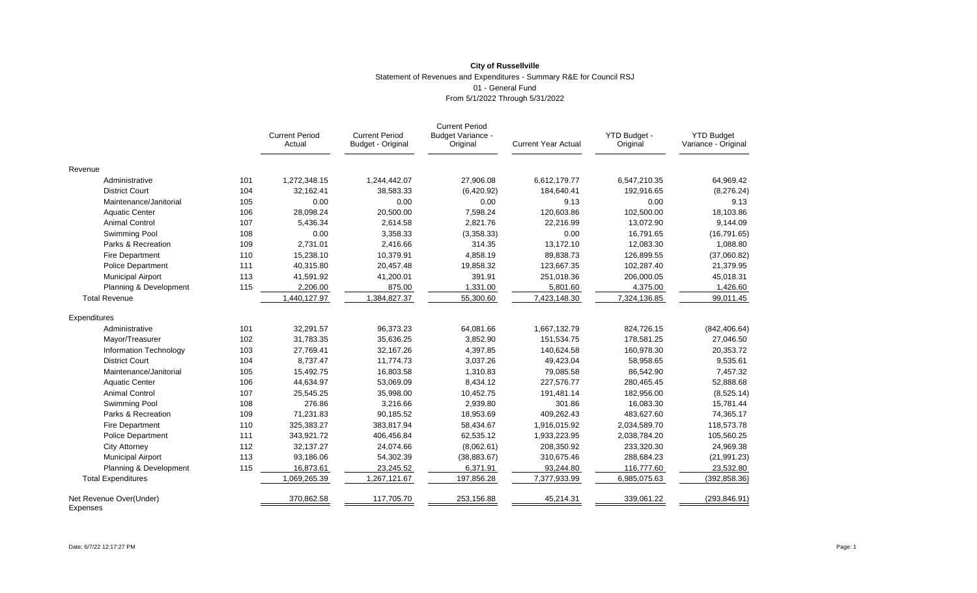# **City of Russellville** Statement of Revenues and Expenditures - Summary R&E for Council RSJ 01 - General Fund From 5/1/2022 Through 5/31/2022

|                                     |     | <b>Current Period</b><br>Actual | <b>Current Period</b><br>Budget - Original | <b>Current Period</b><br><b>Budget Variance -</b><br>Original | <b>Current Year Actual</b> | YTD Budget -<br>Original | <b>YTD Budget</b><br>Variance - Original |
|-------------------------------------|-----|---------------------------------|--------------------------------------------|---------------------------------------------------------------|----------------------------|--------------------------|------------------------------------------|
| Revenue                             |     |                                 |                                            |                                                               |                            |                          |                                          |
| Administrative                      | 101 | 1,272,348.15                    | 1,244,442.07                               | 27,906.08                                                     | 6,612,179.77               | 6,547,210.35             | 64,969.42                                |
| <b>District Court</b>               | 104 | 32,162.41                       | 38,583.33                                  | (6,420.92)                                                    | 184,640.41                 | 192,916.65               | (8,276.24)                               |
| Maintenance/Janitorial              | 105 | 0.00                            | 0.00                                       | 0.00                                                          | 9.13                       | 0.00                     | 9.13                                     |
| <b>Aquatic Center</b>               | 106 | 28,098.24                       | 20,500.00                                  | 7,598.24                                                      | 120,603.86                 | 102,500.00               | 18,103.86                                |
| <b>Animal Control</b>               | 107 | 5,436.34                        | 2,614.58                                   | 2,821.76                                                      | 22,216.99                  | 13,072.90                | 9,144.09                                 |
| Swimming Pool                       | 108 | 0.00                            | 3,358.33                                   | (3,358.33)                                                    | 0.00                       | 16,791.65                | (16, 791.65)                             |
| Parks & Recreation                  | 109 | 2,731.01                        | 2,416.66                                   | 314.35                                                        | 13,172.10                  | 12,083.30                | 1,088.80                                 |
| <b>Fire Department</b>              | 110 | 15,238.10                       | 10,379.91                                  | 4,858.19                                                      | 89,838.73                  | 126,899.55               | (37,060.82)                              |
| <b>Police Department</b>            | 111 | 40,315.80                       | 20,457.48                                  | 19,858.32                                                     | 123,667.35                 | 102,287.40               | 21,379.95                                |
| <b>Municipal Airport</b>            | 113 | 41,591.92                       | 41,200.01                                  | 391.91                                                        | 251,018.36                 | 206,000.05               | 45,018.31                                |
| Planning & Development              | 115 | 2,206.00                        | 875.00                                     | 1,331.00                                                      | 5,801.60                   | 4,375.00                 | 1,426.60                                 |
| <b>Total Revenue</b>                |     | 1,440,127.97                    | 1,384,827.37                               | 55,300.60                                                     | 7,423,148.30               | 7,324,136.85             | 99,011.45                                |
| Expenditures                        |     |                                 |                                            |                                                               |                            |                          |                                          |
| Administrative                      | 101 | 32.291.57                       | 96,373.23                                  | 64,081.66                                                     | 1,667,132.79               | 824,726.15               | (842, 406.64)                            |
| Mayor/Treasurer                     | 102 | 31,783.35                       | 35,636.25                                  | 3,852.90                                                      | 151,534.75                 | 178,581.25               | 27,046.50                                |
| Information Technology              | 103 | 27,769.41                       | 32,167.26                                  | 4,397.85                                                      | 140,624.58                 | 160,978.30               | 20,353.72                                |
| <b>District Court</b>               | 104 | 8,737.47                        | 11,774.73                                  | 3,037.26                                                      | 49.423.04                  | 58,958.65                | 9,535.61                                 |
| Maintenance/Janitorial              | 105 | 15,492.75                       | 16,803.58                                  | 1,310.83                                                      | 79,085.58                  | 86,542.90                | 7,457.32                                 |
| <b>Aquatic Center</b>               | 106 | 44,634.97                       | 53,069.09                                  | 8,434.12                                                      | 227,576.77                 | 280,465.45               | 52,888.68                                |
| <b>Animal Control</b>               | 107 | 25,545.25                       | 35,998.00                                  | 10,452.75                                                     | 191,481.14                 | 182,956.00               | (8,525.14)                               |
| Swimming Pool                       | 108 | 276.86                          | 3.216.66                                   | 2,939.80                                                      | 301.86                     | 16,083.30                | 15,781.44                                |
| Parks & Recreation                  | 109 | 71,231.83                       | 90,185.52                                  | 18,953.69                                                     | 409,262.43                 | 483,627.60               | 74,365.17                                |
| <b>Fire Department</b>              | 110 | 325,383.27                      | 383,817.94                                 | 58,434.67                                                     | 1,916,015.92               | 2,034,589.70             | 118,573.78                               |
| <b>Police Department</b>            | 111 | 343,921.72                      | 406,456.84                                 | 62,535.12                                                     | 1,933,223.95               | 2,038,784.20             | 105,560.25                               |
| <b>City Attorney</b>                | 112 | 32,137.27                       | 24,074.66                                  | (8,062.61)                                                    | 208,350.92                 | 233,320.30               | 24,969.38                                |
| <b>Municipal Airport</b>            | 113 | 93,186.06                       | 54,302.39                                  | (38, 883.67)                                                  | 310,675.46                 | 288,684.23               | (21, 991.23)                             |
| Planning & Development              | 115 | 16,873.61                       | 23,245.52                                  | 6,371.91                                                      | 93,244.80                  | 116,777.60               | 23,532.80                                |
| <b>Total Expenditures</b>           |     | 1,069,265.39                    | 1,267,121.67                               | 197,856.28                                                    | 7,377,933.99               | 6,985,075.63             | (392, 858.36)                            |
| Net Revenue Over(Under)<br>Expenses |     | 370,862.58                      | 117,705.70                                 | 253,156.88                                                    | 45,214.31                  | 339,061.22               | (293, 846.91)                            |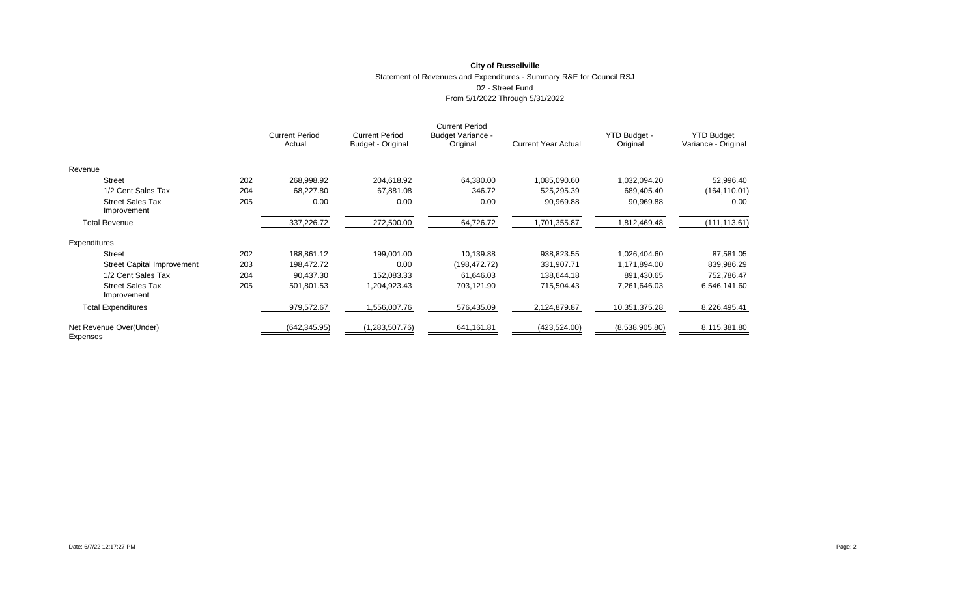### **City of Russellville** Statement of Revenues and Expenditures - Summary R&E for Council RSJ 02 - Street Fund From 5/1/2022 Through 5/31/2022

|                                        |     | <b>Current Period</b><br>Actual | <b>Current Period</b><br>Budget - Original | <b>Current Period</b><br><b>Budget Variance -</b><br>Original | <b>Current Year Actual</b> | YTD Budget -<br>Original | <b>YTD Budget</b><br>Variance - Original |
|----------------------------------------|-----|---------------------------------|--------------------------------------------|---------------------------------------------------------------|----------------------------|--------------------------|------------------------------------------|
| Revenue                                |     |                                 |                                            |                                                               |                            |                          |                                          |
| <b>Street</b>                          | 202 | 268,998.92                      | 204,618.92                                 | 64,380.00                                                     | 1,085,090.60               | 1,032,094.20             | 52,996.40                                |
| 1/2 Cent Sales Tax                     | 204 | 68,227.80                       | 67,881.08                                  | 346.72                                                        | 525,295.39                 | 689,405.40               | (164, 110.01)                            |
| <b>Street Sales Tax</b><br>Improvement | 205 | 0.00                            | 0.00                                       | 0.00                                                          | 90,969.88                  | 90,969.88                | 0.00                                     |
| <b>Total Revenue</b>                   |     | 337,226.72                      | 272,500.00                                 | 64,726.72                                                     | 1,701,355.87               | 1,812,469.48             | (111, 113.61)                            |
| Expenditures                           |     |                                 |                                            |                                                               |                            |                          |                                          |
| <b>Street</b>                          | 202 | 188,861.12                      | 199,001.00                                 | 10,139.88                                                     | 938,823.55                 | 1,026,404.60             | 87,581.05                                |
| <b>Street Capital Improvement</b>      | 203 | 198,472.72                      | 0.00                                       | (198,472.72)                                                  | 331,907.71                 | 1,171,894.00             | 839,986.29                               |
| 1/2 Cent Sales Tax                     | 204 | 90,437.30                       | 152,083.33                                 | 61,646.03                                                     | 138,644.18                 | 891,430.65               | 752,786.47                               |
| <b>Street Sales Tax</b><br>Improvement | 205 | 501,801.53                      | 1,204,923.43                               | 703,121.90                                                    | 715,504.43                 | 7,261,646.03             | 6,546,141.60                             |
| <b>Total Expenditures</b>              |     | 979,572.67                      | 1,556,007.76                               | 576,435.09                                                    | 2,124,879.87               | 10,351,375.28            | 8,226,495.41                             |
| Net Revenue Over(Under)<br>Expenses    |     | (642, 345.95)                   | (1,283,507.76)                             | 641,161.81                                                    | (423, 524.00)              | (8,538,905.80)           | 8,115,381.80                             |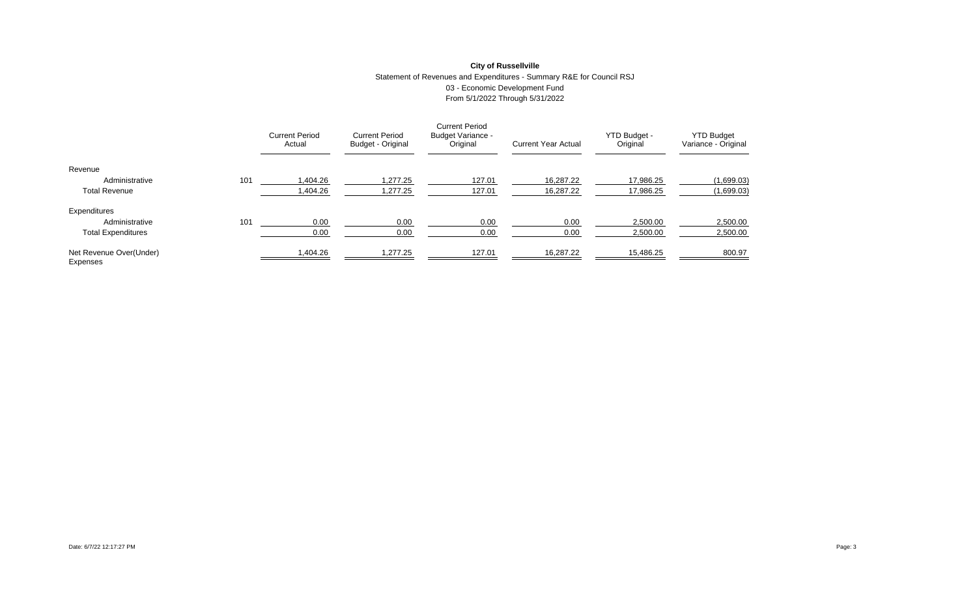# **City of Russellville** Statement of Revenues and Expenditures - Summary R&E for Council RSJ 03 - Economic Development Fund From 5/1/2022 Through 5/31/2022

|                                     |     | <b>Current Period</b><br>Actual | <b>Current Period</b><br>Budget - Original | <b>Current Period</b><br><b>Budget Variance -</b><br>Original | <b>Current Year Actual</b> | YTD Budget -<br>Original | <b>YTD Budget</b><br>Variance - Original |
|-------------------------------------|-----|---------------------------------|--------------------------------------------|---------------------------------------------------------------|----------------------------|--------------------------|------------------------------------------|
| Revenue                             |     |                                 |                                            |                                                               |                            |                          |                                          |
| Administrative                      | 101 | 1.404.26                        | 1.277.25                                   | 127.01                                                        | 16.287.22                  | 17.986.25                | (1,699.03)                               |
| <b>Total Revenue</b>                |     | 1,404.26                        | 1,277.25                                   | 127.01                                                        | 16.287.22                  | 17,986.25                | (1,699.03)                               |
| Expenditures                        |     |                                 |                                            |                                                               |                            |                          |                                          |
| Administrative                      | 101 | 0.00                            | 0.00                                       | 0.00                                                          | 0.00                       | 2,500.00                 | 2,500.00                                 |
| <b>Total Expenditures</b>           |     | 0.00                            | 0.00                                       | 0.00                                                          | 0.00                       | 2,500.00                 | 2,500.00                                 |
| Net Revenue Over(Under)<br>Expenses |     | 1,404.26                        | 1,277.25                                   | 127.01                                                        | 16,287.22                  | 15,486.25                | 800.97                                   |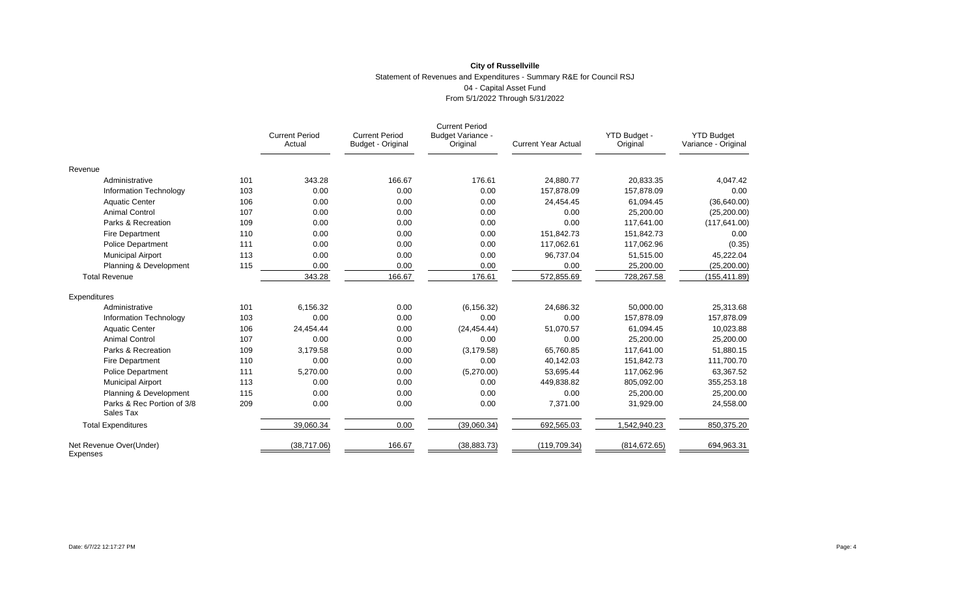# **City of Russellville** Statement of Revenues and Expenditures - Summary R&E for Council RSJ 04 - Capital Asset Fund From 5/1/2022 Through 5/31/2022

|                                         |     | <b>Current Period</b><br>Actual | <b>Current Period</b><br>Budget - Original | <b>Current Period</b><br>Budget Variance -<br>Original | <b>Current Year Actual</b> | YTD Budget -<br>Original | <b>YTD Budget</b><br>Variance - Original |
|-----------------------------------------|-----|---------------------------------|--------------------------------------------|--------------------------------------------------------|----------------------------|--------------------------|------------------------------------------|
| Revenue                                 |     |                                 |                                            |                                                        |                            |                          |                                          |
| Administrative                          | 101 | 343.28                          | 166.67                                     | 176.61                                                 | 24.880.77                  | 20.833.35                | 4,047.42                                 |
| Information Technology                  | 103 | 0.00                            | 0.00                                       | 0.00                                                   | 157.878.09                 | 157,878.09               | 0.00                                     |
| <b>Aquatic Center</b>                   | 106 | 0.00                            | 0.00                                       | 0.00                                                   | 24,454.45                  | 61,094.45                | (36,640.00)                              |
| <b>Animal Control</b>                   | 107 | 0.00                            | 0.00                                       | 0.00                                                   | 0.00                       | 25,200.00                | (25, 200.00)                             |
| Parks & Recreation                      | 109 | 0.00                            | 0.00                                       | 0.00                                                   | 0.00                       | 117.641.00               | (117, 641.00)                            |
| <b>Fire Department</b>                  | 110 | 0.00                            | 0.00                                       | 0.00                                                   | 151,842.73                 | 151,842.73               | 0.00                                     |
| <b>Police Department</b>                | 111 | 0.00                            | 0.00                                       | 0.00                                                   | 117.062.61                 | 117,062.96               | (0.35)                                   |
| <b>Municipal Airport</b>                | 113 | 0.00                            | 0.00                                       | 0.00                                                   | 96,737.04                  | 51,515.00                | 45,222.04                                |
| Planning & Development                  | 115 | 0.00                            | 0.00                                       | 0.00                                                   | 0.00                       | 25,200.00                | (25, 200.00)                             |
| <b>Total Revenue</b>                    |     | 343.28                          | 166.67                                     | 176.61                                                 | 572,855.69                 | 728,267.58               | (155, 411.89)                            |
| Expenditures                            |     |                                 |                                            |                                                        |                            |                          |                                          |
| Administrative                          | 101 | 6,156.32                        | 0.00                                       | (6, 156.32)                                            | 24,686.32                  | 50,000.00                | 25,313.68                                |
| Information Technology                  | 103 | 0.00                            | 0.00                                       | 0.00                                                   | 0.00                       | 157,878.09               | 157,878.09                               |
| <b>Aquatic Center</b>                   | 106 | 24,454.44                       | 0.00                                       | (24, 454, 44)                                          | 51,070.57                  | 61,094.45                | 10,023.88                                |
| <b>Animal Control</b>                   | 107 | 0.00                            | 0.00                                       | 0.00                                                   | 0.00                       | 25,200.00                | 25,200.00                                |
| Parks & Recreation                      | 109 | 3,179.58                        | 0.00                                       | (3, 179.58)                                            | 65.760.85                  | 117.641.00               | 51,880.15                                |
| Fire Department                         | 110 | 0.00                            | 0.00                                       | 0.00                                                   | 40,142.03                  | 151,842.73               | 111,700.70                               |
| <b>Police Department</b>                | 111 | 5,270.00                        | 0.00                                       | (5,270.00)                                             | 53.695.44                  | 117,062.96               | 63,367.52                                |
| <b>Municipal Airport</b>                | 113 | 0.00                            | 0.00                                       | 0.00                                                   | 449,838.82                 | 805,092.00               | 355,253.18                               |
| Planning & Development                  | 115 | 0.00                            | 0.00                                       | 0.00                                                   | 0.00                       | 25,200.00                | 25,200.00                                |
| Parks & Rec Portion of 3/8<br>Sales Tax | 209 | 0.00                            | 0.00                                       | 0.00                                                   | 7,371.00                   | 31,929.00                | 24,558.00                                |
| <b>Total Expenditures</b>               |     | 39,060.34                       | 0.00                                       | (39,060.34)                                            | 692,565.03                 | 1,542,940.23             | 850,375.20                               |
| Net Revenue Over(Under)<br>Expenses     |     | (38,717.06)                     | 166.67                                     | (38, 883.73)                                           | (119, 709.34)              | (814, 672.65)            | 694,963.31                               |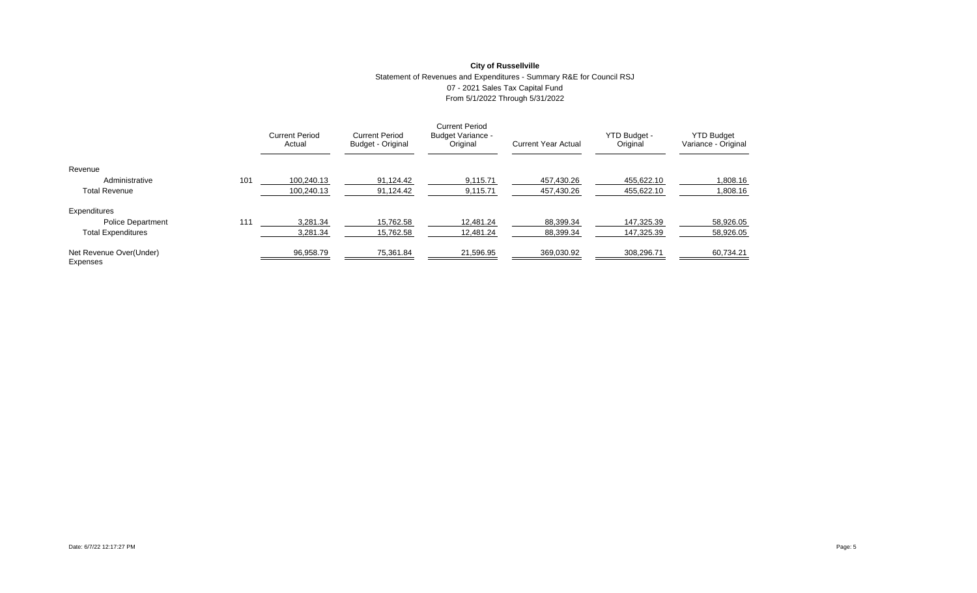# **City of Russellville** Statement of Revenues and Expenditures - Summary R&E for Council RSJ 07 - 2021 Sales Tax Capital Fund From 5/1/2022 Through 5/31/2022

|                                     |     | <b>Current Period</b><br>Actual | <b>Current Period</b><br>Budget - Original | <b>Current Period</b><br><b>Budget Variance -</b><br>Original | <b>Current Year Actual</b> | YTD Budget -<br>Original | <b>YTD Budget</b><br>Variance - Original |
|-------------------------------------|-----|---------------------------------|--------------------------------------------|---------------------------------------------------------------|----------------------------|--------------------------|------------------------------------------|
| Revenue                             |     |                                 |                                            |                                                               |                            |                          |                                          |
| Administrative                      | 101 | 100.240.13                      | 91.124.42                                  | 9.115.71                                                      | 457.430.26                 | 455.622.10               | 1.808.16                                 |
| <b>Total Revenue</b>                |     | 100.240.13                      | 91,124.42                                  | 9,115.71                                                      | 457,430.26                 | 455.622.10               | 1,808.16                                 |
| Expenditures                        |     |                                 |                                            |                                                               |                            |                          |                                          |
| <b>Police Department</b>            | 111 | 3.281.34                        | 15,762.58                                  | 12.481.24                                                     | 88,399.34                  | 147.325.39               | 58,926.05                                |
| <b>Total Expenditures</b>           |     | 3,281.34                        | 15,762.58                                  | 12.481.24                                                     | 88,399.34                  | 147.325.39               | 58,926.05                                |
| Net Revenue Over(Under)<br>Expenses |     | 96,958.79                       | 75,361.84                                  | 21,596.95                                                     | 369,030.92                 | 308,296.71               | 60,734.21                                |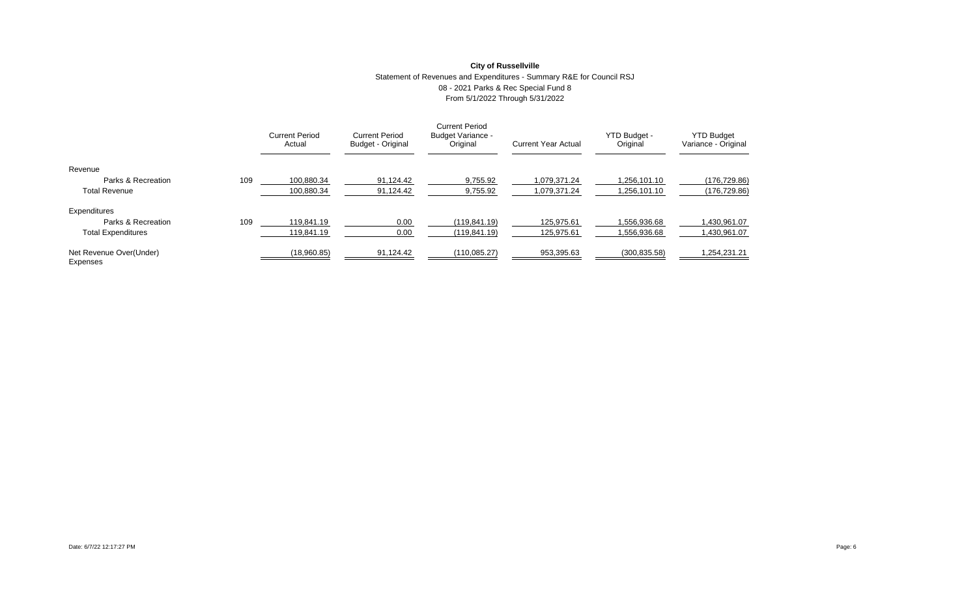# **City of Russellville** Statement of Revenues and Expenditures - Summary R&E for Council RSJ 08 - 2021 Parks & Rec Special Fund 8 From 5/1/2022 Through 5/31/2022

|                                     |     | <b>Current Period</b><br>Actual | <b>Current Period</b><br>Budget - Original | <b>Current Period</b><br><b>Budget Variance -</b><br>Original | <b>Current Year Actual</b> | YTD Budget -<br>Original | <b>YTD Budget</b><br>Variance - Original |
|-------------------------------------|-----|---------------------------------|--------------------------------------------|---------------------------------------------------------------|----------------------------|--------------------------|------------------------------------------|
| Revenue                             |     |                                 |                                            |                                                               |                            |                          |                                          |
| Parks & Recreation                  | 109 | 100.880.34                      | 91.124.42                                  | 9.755.92                                                      | 1.079.371.24               | .256.101.10              | (176, 729.86)                            |
| <b>Total Revenue</b>                |     | 100.880.34                      | 91,124.42                                  | 9,755.92                                                      | 1.079.371.24               | 1.256.101.10             | (176, 729.86)                            |
| Expenditures                        |     |                                 |                                            |                                                               |                            |                          |                                          |
| Parks & Recreation                  | 109 | 119.841.19                      | 0.00                                       | (119.841.19)                                                  | 125.975.61                 | .556.936.68              | 1,430,961.07                             |
| <b>Total Expenditures</b>           |     | 119.841.19                      | 0.00                                       | (119.841.19)                                                  | 125.975.61                 | .556.936.68              | 1,430,961.07                             |
| Net Revenue Over(Under)<br>Expenses |     | (18,960.85)                     | 91,124.42                                  | (110, 085.27)                                                 | 953,395.63                 | (300, 835.58)            | 1,254,231.21                             |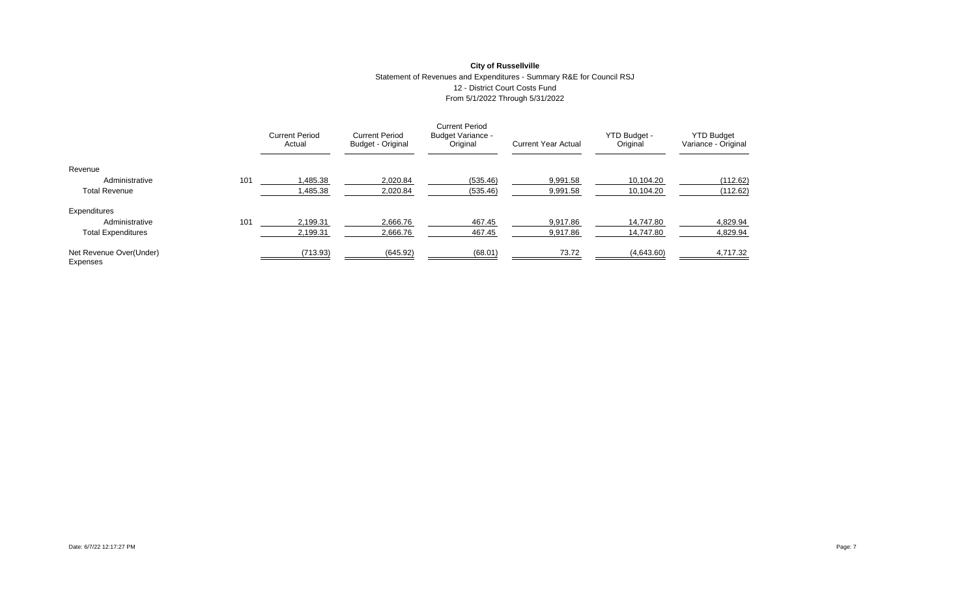# **City of Russellville** Statement of Revenues and Expenditures - Summary R&E for Council RSJ 12 - District Court Costs Fund From 5/1/2022 Through 5/31/2022

|                                     |     | <b>Current Period</b><br>Actual | <b>Current Period</b><br>Budget - Original | <b>Current Period</b><br><b>Budget Variance -</b><br>Original | <b>Current Year Actual</b> | YTD Budget -<br>Original | <b>YTD Budget</b><br>Variance - Original |
|-------------------------------------|-----|---------------------------------|--------------------------------------------|---------------------------------------------------------------|----------------------------|--------------------------|------------------------------------------|
| Revenue                             |     |                                 |                                            |                                                               |                            |                          |                                          |
| Administrative                      | 101 | 1.485.38                        | 2.020.84                                   | (535.46)                                                      | 9.991.58                   | 10.104.20                | (112.62)                                 |
| <b>Total Revenue</b>                |     | 1,485.38                        | 2,020.84                                   | (535.46)                                                      | 9,991.58                   | 10,104.20                | (112.62)                                 |
| Expenditures                        |     |                                 |                                            |                                                               |                            |                          |                                          |
| Administrative                      | 101 | 2,199.31                        | 2,666.76                                   | 467.45                                                        | 9,917.86                   | 14,747.80                | 4,829.94                                 |
| <b>Total Expenditures</b>           |     | 2,199.31                        | 2,666.76                                   | 467.45                                                        | 9,917.86                   | 14.747.80                | 4,829.94                                 |
| Net Revenue Over(Under)<br>Expenses |     | (713.93)                        | (645.92)                                   | (68.01)                                                       | 73.72                      | (4,643.60)               | 4,717.32                                 |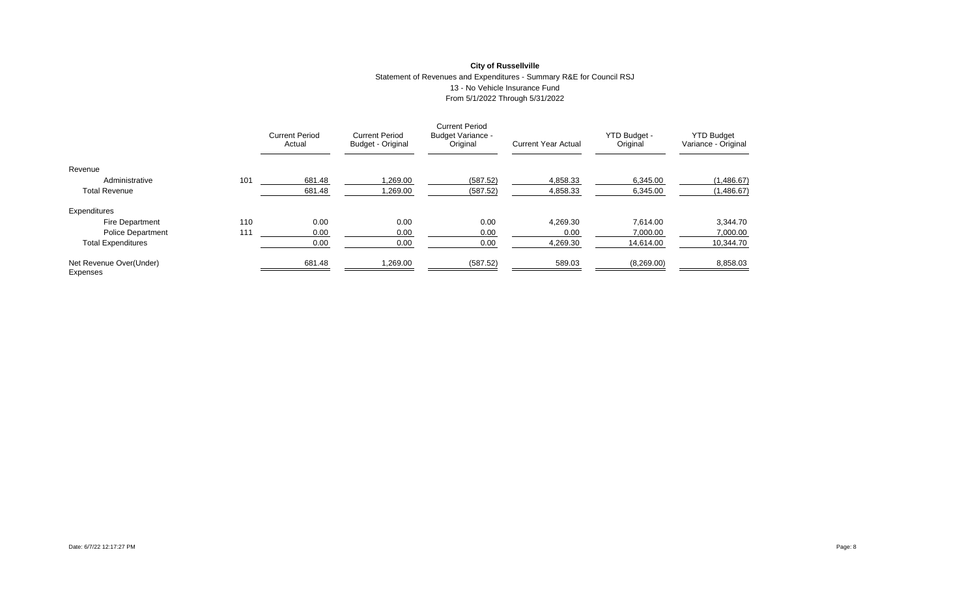### **City of Russellville** Statement of Revenues and Expenditures - Summary R&E for Council RSJ 13 - No Vehicle Insurance Fund From 5/1/2022 Through 5/31/2022

|                                     |     | <b>Current Period</b><br>Actual | <b>Current Period</b><br>Budget - Original | <b>Current Period</b><br>Budget Variance -<br>Original | <b>Current Year Actual</b> | YTD Budget -<br>Original | <b>YTD Budget</b><br>Variance - Original |
|-------------------------------------|-----|---------------------------------|--------------------------------------------|--------------------------------------------------------|----------------------------|--------------------------|------------------------------------------|
| Revenue                             |     |                                 |                                            |                                                        |                            |                          |                                          |
| Administrative                      | 101 | 681.48                          | 1,269.00                                   | (587.52)                                               | 4,858.33                   | 6,345.00                 | (1,486.67)                               |
| <b>Total Revenue</b>                |     | 681.48                          | 1.269.00                                   | (587.52)                                               | 4,858.33                   | 6.345.00                 | (1,486.67)                               |
| Expenditures                        |     |                                 |                                            |                                                        |                            |                          |                                          |
| <b>Fire Department</b>              | 110 | 0.00                            | 0.00                                       | 0.00                                                   | 4.269.30                   | 7.614.00                 | 3,344.70                                 |
| <b>Police Department</b>            | 111 | 0.00                            | 0.00                                       | 0.00                                                   | 0.00                       | 7,000.00                 | 7,000.00                                 |
| <b>Total Expenditures</b>           |     | 0.00                            | 0.00                                       | 0.00                                                   | 4,269.30                   | 14,614.00                | 10,344.70                                |
| Net Revenue Over(Under)<br>Expenses |     | 681.48                          | 1,269.00                                   | (587.52)                                               | 589.03                     | (8,269.00)               | 8,858.03                                 |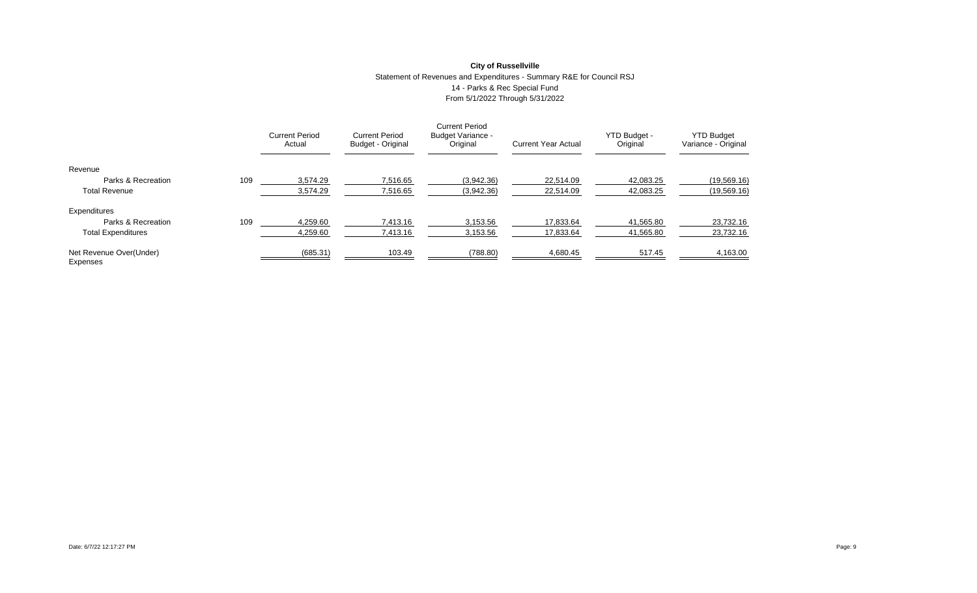# **City of Russellville** Statement of Revenues and Expenditures - Summary R&E for Council RSJ 14 - Parks & Rec Special Fund From 5/1/2022 Through 5/31/2022

|                                     |     | <b>Current Period</b><br>Actual | <b>Current Period</b><br>Budget - Original | <b>Current Period</b><br><b>Budget Variance -</b><br>Original | <b>Current Year Actual</b> | YTD Budget -<br>Original | <b>YTD Budget</b><br>Variance - Original |
|-------------------------------------|-----|---------------------------------|--------------------------------------------|---------------------------------------------------------------|----------------------------|--------------------------|------------------------------------------|
| Revenue                             |     |                                 |                                            |                                                               |                            |                          |                                          |
| Parks & Recreation                  | 109 | 3.574.29                        | 7.516.65                                   | (3.942.36)                                                    | 22.514.09                  | 42.083.25                | (19, 569.16)                             |
| <b>Total Revenue</b>                |     | 3,574.29                        | 7,516.65                                   | (3,942.36)                                                    | 22,514.09                  | 42,083.25                | (19, 569.16)                             |
| Expenditures                        |     |                                 |                                            |                                                               |                            |                          |                                          |
| Parks & Recreation                  | 109 | 4,259.60                        | 7,413.16                                   | 3,153.56                                                      | 17,833.64                  | 41,565.80                | 23,732.16                                |
| <b>Total Expenditures</b>           |     | 4,259.60                        | 7,413.16                                   | 3,153.56                                                      | 17,833.64                  | 41,565.80                | 23,732.16                                |
| Net Revenue Over(Under)<br>Expenses |     | (685.31)                        | 103.49                                     | (788.80)                                                      | 4,680.45                   | 517.45                   | 4,163.00                                 |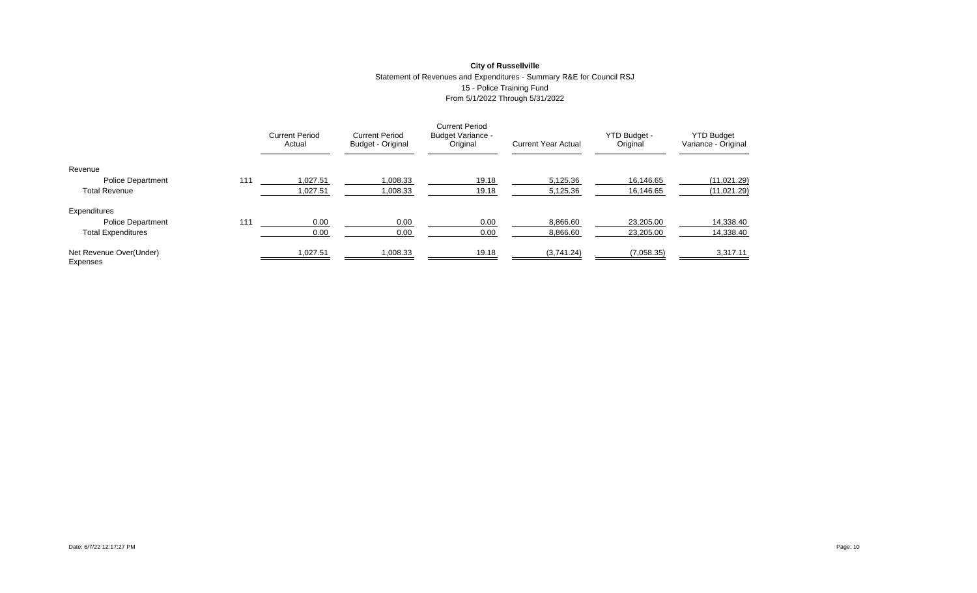### **City of Russellville** Statement of Revenues and Expenditures - Summary R&E for Council RSJ 15 - Police Training Fund From 5/1/2022 Through 5/31/2022

|                                     |     | <b>Current Period</b><br>Actual | <b>Current Period</b><br>Budget - Original | <b>Current Period</b><br><b>Budget Variance -</b><br>Original | <b>Current Year Actual</b> | YTD Budget -<br>Original | <b>YTD Budget</b><br>Variance - Original |
|-------------------------------------|-----|---------------------------------|--------------------------------------------|---------------------------------------------------------------|----------------------------|--------------------------|------------------------------------------|
| Revenue                             |     |                                 |                                            |                                                               |                            |                          |                                          |
| <b>Police Department</b>            | 111 | 1.027.51                        | 1,008.33                                   | 19.18                                                         | 5.125.36                   | 16.146.65                | (11,021.29)                              |
| <b>Total Revenue</b>                |     | 1,027.51                        | 1,008.33                                   | 19.18                                                         | 5,125.36                   | 16,146.65                | (11,021.29)                              |
| Expenditures                        |     |                                 |                                            |                                                               |                            |                          |                                          |
| <b>Police Department</b>            | 111 | 0.00                            | 0.00                                       | 0.00                                                          | 8,866.60                   | 23,205.00                | 14,338.40                                |
| <b>Total Expenditures</b>           |     | 0.00                            | 0.00                                       | 0.00                                                          | 8,866.60                   | 23,205.00                | 14,338.40                                |
| Net Revenue Over(Under)<br>Expenses |     | 1,027.51                        | 1,008.33                                   | 19.18                                                         | (3,741.24)                 | (7,058.35)               | 3,317.11                                 |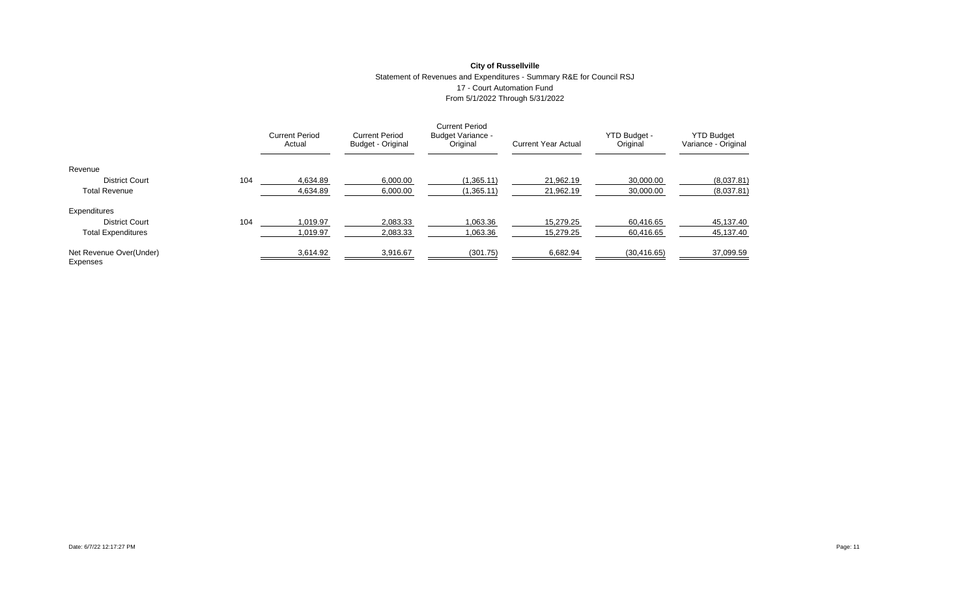### **City of Russellville** Statement of Revenues and Expenditures - Summary R&E for Council RSJ 17 - Court Automation Fund From 5/1/2022 Through 5/31/2022

|                                     |     | <b>Current Period</b><br>Actual | <b>Current Period</b><br>Budget - Original | <b>Current Period</b><br><b>Budget Variance -</b><br>Original | <b>Current Year Actual</b> | YTD Budget -<br>Original | <b>YTD Budget</b><br>Variance - Original |
|-------------------------------------|-----|---------------------------------|--------------------------------------------|---------------------------------------------------------------|----------------------------|--------------------------|------------------------------------------|
| Revenue                             |     |                                 |                                            |                                                               |                            |                          |                                          |
| <b>District Court</b>               | 104 | 4.634.89                        | 6.000.00                                   | (1,365.11)                                                    | 21.962.19                  | 30.000.00                | (8,037.81)                               |
| <b>Total Revenue</b>                |     | 4,634.89                        | 6,000.00                                   | (1,365.11)                                                    | 21.962.19                  | 30,000.00                | (8,037.81)                               |
| Expenditures                        |     |                                 |                                            |                                                               |                            |                          |                                          |
| <b>District Court</b>               | 104 | 1,019.97                        | 2,083.33                                   | 1,063.36                                                      | 15.279.25                  | 60,416.65                | 45,137.40                                |
| <b>Total Expenditures</b>           |     | 1,019.97                        | 2,083.33                                   | 1,063.36                                                      | 15.279.25                  | 60.416.65                | 45,137.40                                |
| Net Revenue Over(Under)<br>Expenses |     | 3,614.92                        | 3,916.67                                   | (301.75)                                                      | 6,682.94                   | (30, 416.65)             | 37,099.59                                |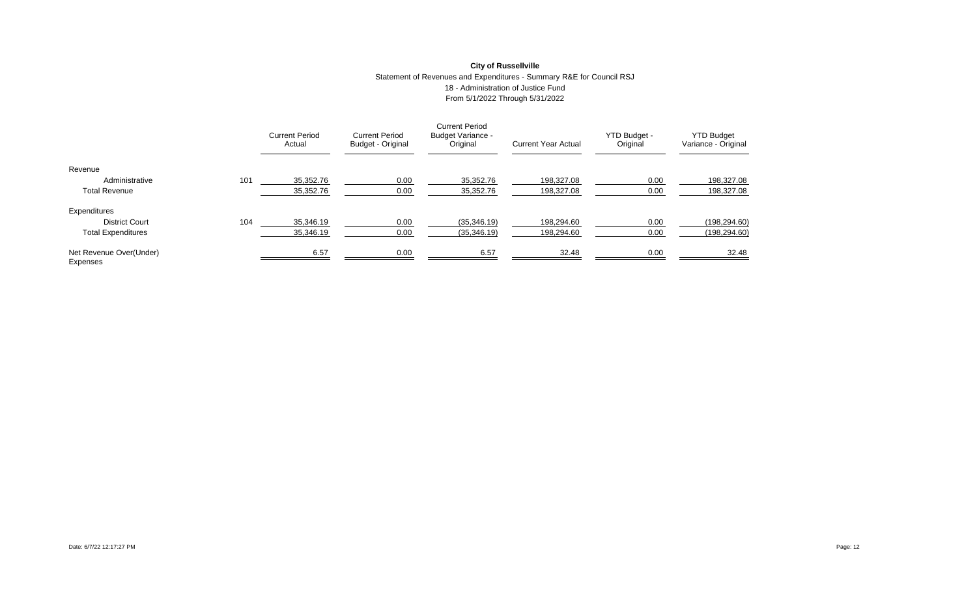### **City of Russellville** Statement of Revenues and Expenditures - Summary R&E for Council RSJ 18 - Administration of Justice Fund From 5/1/2022 Through 5/31/2022

|                                     |     | <b>Current Period</b><br>Actual | <b>Current Period</b><br>Budget - Original | <b>Current Period</b><br><b>Budget Variance -</b><br>Original | <b>Current Year Actual</b> | YTD Budget -<br>Original | <b>YTD Budget</b><br>Variance - Original |
|-------------------------------------|-----|---------------------------------|--------------------------------------------|---------------------------------------------------------------|----------------------------|--------------------------|------------------------------------------|
| Revenue                             |     |                                 |                                            |                                                               |                            |                          |                                          |
| Administrative                      | 101 | 35.352.76                       | 0.00                                       | 35.352.76                                                     | 198.327.08                 | 0.00                     | 198,327.08                               |
| <b>Total Revenue</b>                |     | 35,352.76                       | 0.00                                       | 35,352.76                                                     | 198.327.08                 | 0.00                     | 198,327.08                               |
| Expenditures                        |     |                                 |                                            |                                                               |                            |                          |                                          |
| <b>District Court</b>               | 104 | 35,346.19                       | 0.00                                       | (35, 346.19)                                                  | 198,294.60                 | 0.00                     | (198, 294.60)                            |
| <b>Total Expenditures</b>           |     | 35,346.19                       | 0.00                                       | (35, 346.19)                                                  | 198,294.60                 | 0.00                     | (198, 294.60)                            |
| Net Revenue Over(Under)<br>Expenses |     | 6.57                            | 0.00                                       | 6.57                                                          | 32.48                      | 0.00                     | 32.48                                    |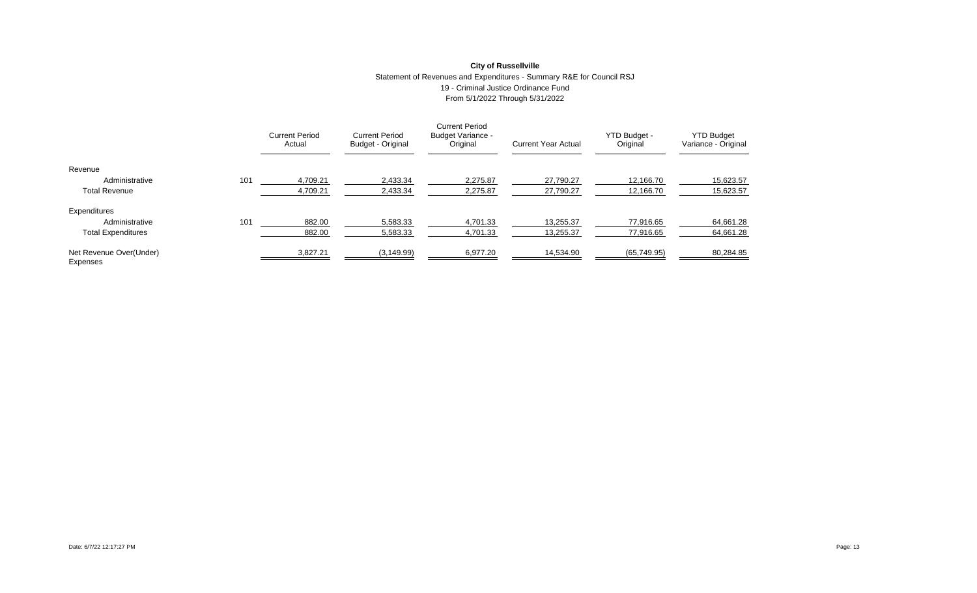### **City of Russellville** Statement of Revenues and Expenditures - Summary R&E for Council RSJ 19 - Criminal Justice Ordinance Fund From 5/1/2022 Through 5/31/2022

|                                     |     | <b>Current Period</b><br>Actual | <b>Current Period</b><br>Budget - Original | <b>Current Period</b><br><b>Budget Variance -</b><br>Original | <b>Current Year Actual</b> | YTD Budget -<br>Original | <b>YTD Budget</b><br>Variance - Original |
|-------------------------------------|-----|---------------------------------|--------------------------------------------|---------------------------------------------------------------|----------------------------|--------------------------|------------------------------------------|
| Revenue                             |     |                                 |                                            |                                                               |                            |                          |                                          |
| Administrative                      | 101 | 4.709.21                        | 2,433.34                                   | 2.275.87                                                      | 27.790.27                  | 12.166.70                | 15,623.57                                |
| <b>Total Revenue</b>                |     | 4,709.21                        | 2,433.34                                   | 2,275.87                                                      | 27,790.27                  | 12,166.70                | 15,623.57                                |
| Expenditures                        |     |                                 |                                            |                                                               |                            |                          |                                          |
| Administrative                      | 101 | 882.00                          | 5,583.33                                   | 4,701.33                                                      | 13,255.37                  | 77.916.65                | 64,661.28                                |
| <b>Total Expenditures</b>           |     | 882.00                          | 5,583.33                                   | 4,701.33                                                      | 13.255.37                  | 77.916.65                | 64,661.28                                |
| Net Revenue Over(Under)<br>Expenses |     | 3,827.21                        | (3, 149.99)                                | 6,977.20                                                      | 14,534.90                  | (65, 749.95)             | 80,284.85                                |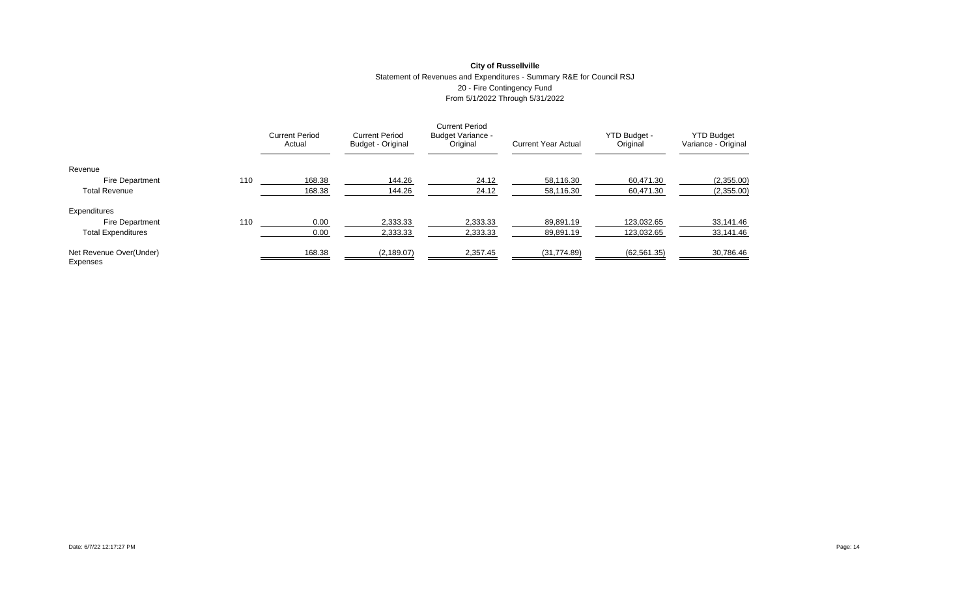# **City of Russellville** Statement of Revenues and Expenditures - Summary R&E for Council RSJ 20 - Fire Contingency Fund From 5/1/2022 Through 5/31/2022

|                                     |     | <b>Current Period</b><br>Actual | <b>Current Period</b><br>Budget - Original | <b>Current Period</b><br><b>Budget Variance -</b><br>Original | <b>Current Year Actual</b> | YTD Budget -<br>Original | <b>YTD Budget</b><br>Variance - Original |
|-------------------------------------|-----|---------------------------------|--------------------------------------------|---------------------------------------------------------------|----------------------------|--------------------------|------------------------------------------|
| Revenue                             |     |                                 |                                            |                                                               |                            |                          |                                          |
| <b>Fire Department</b>              | 110 | 168.38                          | 144.26                                     | 24.12                                                         | 58.116.30                  | 60.471.30                | (2,355.00)                               |
| <b>Total Revenue</b>                |     | 168.38                          | 144.26                                     | 24.12                                                         | 58,116.30                  | 60,471.30                | (2,355.00)                               |
| Expenditures                        |     |                                 |                                            |                                                               |                            |                          |                                          |
| <b>Fire Department</b>              | 110 | 0.00                            | 2,333.33                                   | 2,333.33                                                      | 89,891.19                  | 123.032.65               | 33,141.46                                |
| <b>Total Expenditures</b>           |     | 0.00                            | 2,333.33                                   | 2,333.33                                                      | 89,891.19                  | 123.032.65               | 33,141.46                                |
| Net Revenue Over(Under)<br>Expenses |     | 168.38                          | (2, 189.07)                                | 2,357.45                                                      | (31,774.89)                | (62, 561.35)             | 30,786.46                                |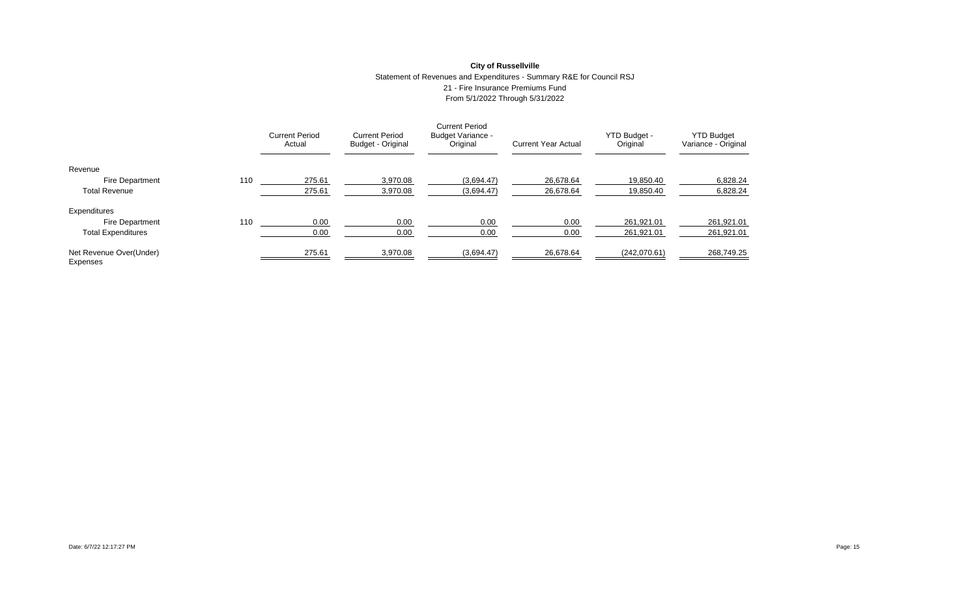### **City of Russellville** Statement of Revenues and Expenditures - Summary R&E for Council RSJ 21 - Fire Insurance Premiums Fund From 5/1/2022 Through 5/31/2022

|                                     |     | <b>Current Period</b><br>Actual | <b>Current Period</b><br>Budget - Original | <b>Current Period</b><br><b>Budget Variance -</b><br>Original | <b>Current Year Actual</b> | YTD Budget -<br>Original | <b>YTD Budget</b><br>Variance - Original |
|-------------------------------------|-----|---------------------------------|--------------------------------------------|---------------------------------------------------------------|----------------------------|--------------------------|------------------------------------------|
| Revenue                             |     |                                 |                                            |                                                               |                            |                          |                                          |
| Fire Department                     | 110 | 275.61                          | 3,970.08                                   | (3.694.47)                                                    | 26.678.64                  | 19.850.40                | 6,828.24                                 |
| <b>Total Revenue</b>                |     | 275.61                          | 3,970.08                                   | (3,694.47)                                                    | 26,678.64                  | 19,850.40                | 6,828.24                                 |
| Expenditures                        |     |                                 |                                            |                                                               |                            |                          |                                          |
| <b>Fire Department</b>              | 110 | 0.00                            | 0.00                                       | 0.00                                                          | 0.00                       | 261.921.01               | 261,921.01                               |
| <b>Total Expenditures</b>           |     | 0.00                            | 0.00                                       | 0.00                                                          | 0.00                       | 261.921.01               | 261.921.01                               |
| Net Revenue Over(Under)<br>Expenses |     | 275.61                          | 3,970.08                                   | (3,694.47)                                                    | 26,678.64                  | (242,070.61)             | 268,749.25                               |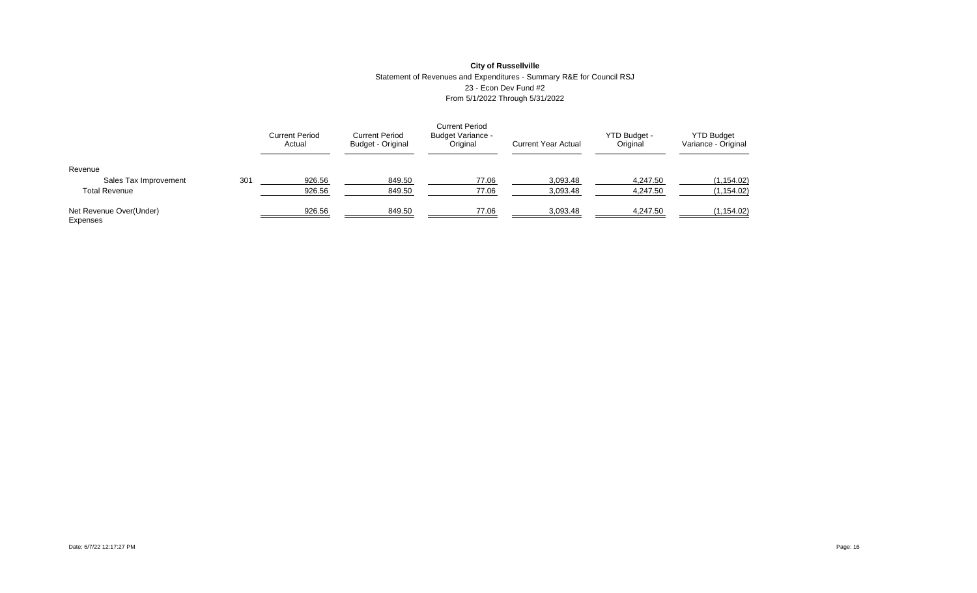# **City of Russellville** Statement of Revenues and Expenditures - Summary R&E for Council RSJ 23 - Econ Dev Fund #2 From 5/1/2022 Through 5/31/2022

|                                     |     | <b>Current Period</b><br>Actual | <b>Current Period</b><br><b>Budget - Original</b> | <b>Current Period</b><br>Budget Variance -<br>Original | <b>Current Year Actual</b> | YTD Budget -<br>Original | <b>YTD Budget</b><br>Variance - Original |
|-------------------------------------|-----|---------------------------------|---------------------------------------------------|--------------------------------------------------------|----------------------------|--------------------------|------------------------------------------|
| Revenue                             |     |                                 |                                                   |                                                        |                            |                          |                                          |
| Sales Tax Improvement               | 301 | 926.56                          | 849.50                                            | 77.06                                                  | 3,093.48                   | 4,247.50                 | (1, 154.02)                              |
| <b>Total Revenue</b>                |     | 926.56                          | 849.50                                            | 77.06                                                  | 3,093.48                   | 4,247.50                 | (1, 154.02)                              |
| Net Revenue Over(Under)<br>Expenses |     | 926.56                          | 849.50                                            | 77.06                                                  | 3,093.48                   | 4,247.50                 | (1, 154.02)                              |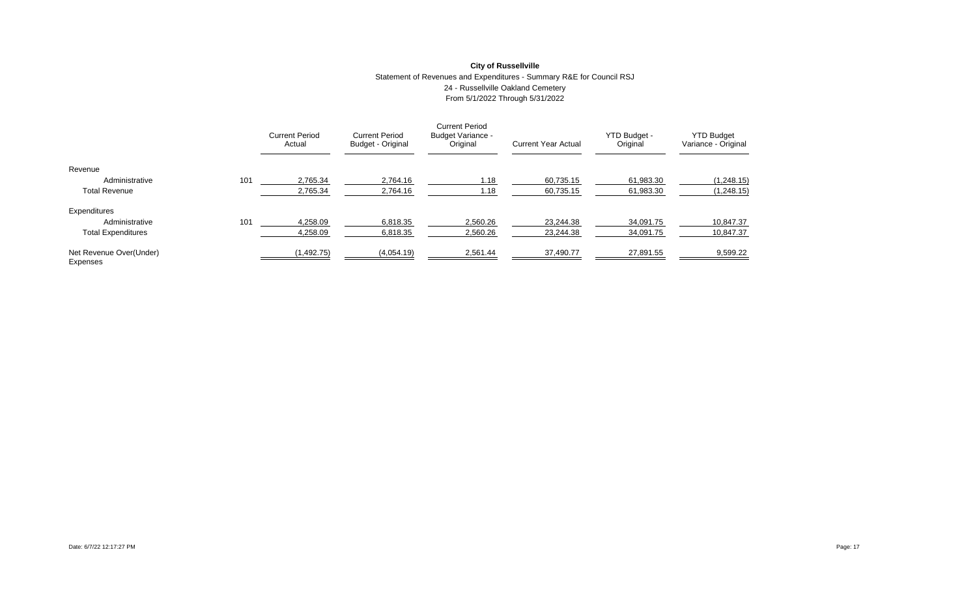# **City of Russellville** Statement of Revenues and Expenditures - Summary R&E for Council RSJ 24 - Russellville Oakland Cemetery From 5/1/2022 Through 5/31/2022

|                                     |     | <b>Current Period</b><br>Actual | <b>Current Period</b><br>Budget - Original | <b>Current Period</b><br><b>Budget Variance -</b><br>Original | <b>Current Year Actual</b> | YTD Budget -<br>Original | <b>YTD Budget</b><br>Variance - Original |
|-------------------------------------|-----|---------------------------------|--------------------------------------------|---------------------------------------------------------------|----------------------------|--------------------------|------------------------------------------|
| Revenue                             |     |                                 |                                            |                                                               |                            |                          |                                          |
| Administrative                      | 101 | 2.765.34                        | 2.764.16                                   | 1.18                                                          | 60.735.15                  | 61.983.30                | (1,248.15)                               |
| <b>Total Revenue</b>                |     | 2,765.34                        | 2,764.16                                   | 1.18                                                          | 60.735.15                  | 61,983.30                | (1,248.15)                               |
| Expenditures                        |     |                                 |                                            |                                                               |                            |                          |                                          |
| Administrative                      | 101 | 4.258.09                        | 6.818.35                                   | 2.560.26                                                      | 23.244.38                  | 34.091.75                | 10.847.37                                |
| <b>Total Expenditures</b>           |     | 4,258.09                        | 6,818.35                                   | 2,560.26                                                      | 23.244.38                  | 34,091.75                | 10,847.37                                |
| Net Revenue Over(Under)<br>Expenses |     | (1, 492.75)                     | (4,054.19)                                 | 2,561.44                                                      | 37,490.77                  | 27,891.55                | 9,599.22                                 |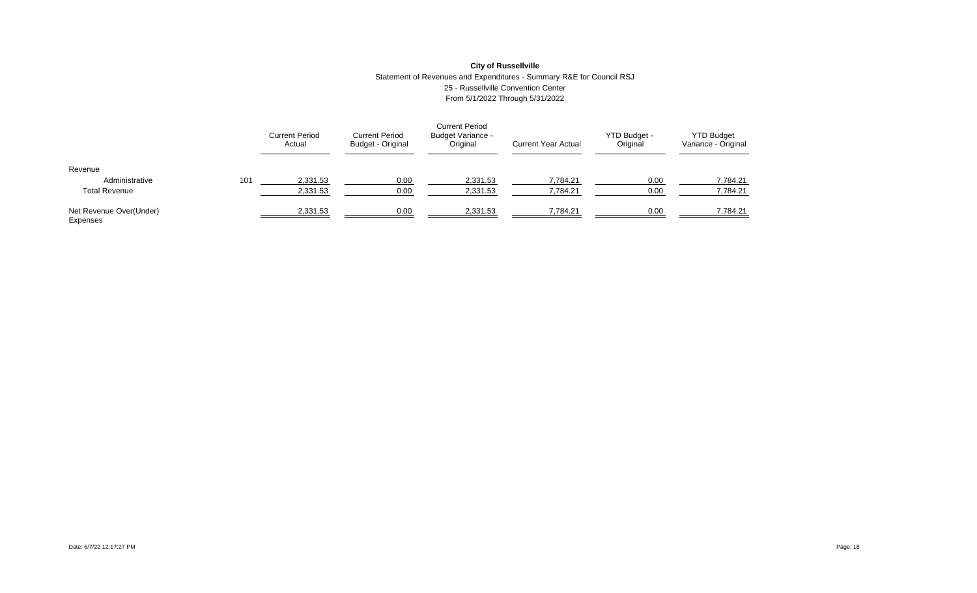### **City of Russellville** Statement of Revenues and Expenditures - Summary R&E for Council RSJ 25 - Russellville Convention Center From 5/1/2022 Through 5/31/2022

|                                     |     | <b>Current Period</b><br>Actual | <b>Current Period</b><br>Budget - Original | <b>Current Period</b><br>Budget Variance -<br>Original | <b>Current Year Actual</b> | YTD Budget -<br>Original | <b>YTD Budget</b><br>Variance - Original |
|-------------------------------------|-----|---------------------------------|--------------------------------------------|--------------------------------------------------------|----------------------------|--------------------------|------------------------------------------|
| Revenue                             |     |                                 |                                            |                                                        |                            |                          |                                          |
| Administrative                      | 101 | 2,331.53                        | 0.00                                       | 2,331.53                                               | 7,784.21                   | 0.00                     | 7.784.21                                 |
| <b>Total Revenue</b>                |     | 2,331.53                        | 0.00                                       | 2,331.53                                               | 7,784.21                   | 0.00                     | 7,784.21                                 |
| Net Revenue Over(Under)<br>Expenses |     | 2,331.53                        | 0.00                                       | 2,331.53                                               | 7,784.21                   | 0.00                     | 7,784.21                                 |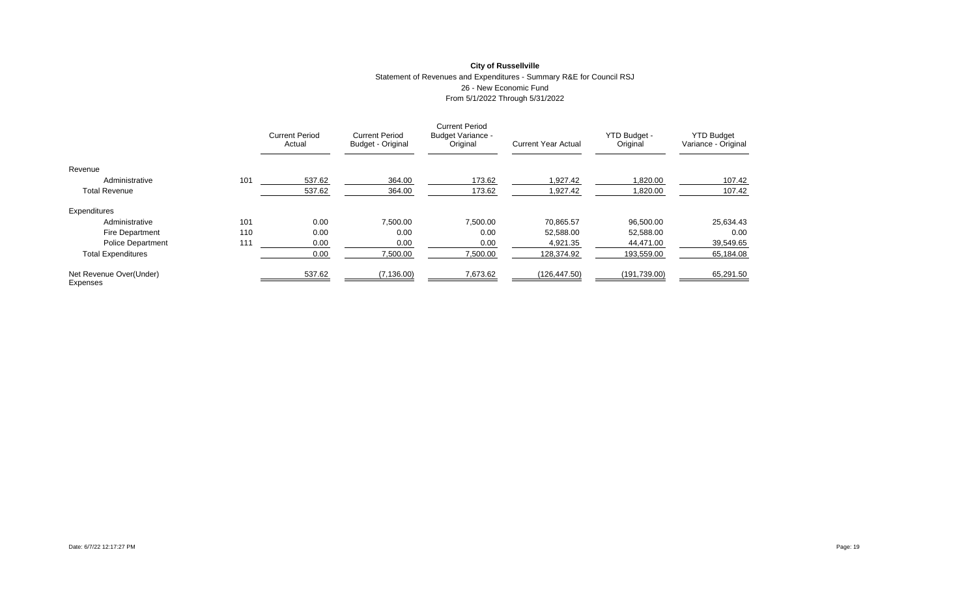# **City of Russellville** Statement of Revenues and Expenditures - Summary R&E for Council RSJ 26 - New Economic Fund From 5/1/2022 Through 5/31/2022

|                                     |     | <b>Current Period</b><br>Actual | <b>Current Period</b><br>Budget - Original | <b>Current Period</b><br><b>Budget Variance -</b><br>Original | <b>Current Year Actual</b> | YTD Budget -<br>Original | <b>YTD Budget</b><br>Variance - Original |
|-------------------------------------|-----|---------------------------------|--------------------------------------------|---------------------------------------------------------------|----------------------------|--------------------------|------------------------------------------|
| Revenue                             |     |                                 |                                            |                                                               |                            |                          |                                          |
| Administrative                      | 101 | 537.62                          | 364.00                                     | 173.62                                                        | 1.927.42                   | .820.00                  | 107.42                                   |
| <b>Total Revenue</b>                |     | 537.62                          | 364.00                                     | 173.62                                                        | 1,927.42                   | 820.00. ا                | 107.42                                   |
| Expenditures                        |     |                                 |                                            |                                                               |                            |                          |                                          |
| Administrative                      | 101 | 0.00                            | 7,500.00                                   | 7,500.00                                                      | 70,865.57                  | 96,500.00                | 25,634.43                                |
| <b>Fire Department</b>              | 110 | 0.00                            | 0.00                                       | 0.00                                                          | 52,588.00                  | 52,588.00                | 0.00                                     |
| <b>Police Department</b>            | 111 | 0.00                            | 0.00                                       | 0.00                                                          | 4.921.35                   | 44.471.00                | 39,549.65                                |
| <b>Total Expenditures</b>           |     | 0.00                            | 7,500.00                                   | 7,500.00                                                      | 128.374.92                 | 193,559.00               | 65,184.08                                |
| Net Revenue Over(Under)<br>Expenses |     | 537.62                          | (7, 136.00)                                | 7,673.62                                                      | (126, 447.50)              | (191, 739.00)            | 65,291.50                                |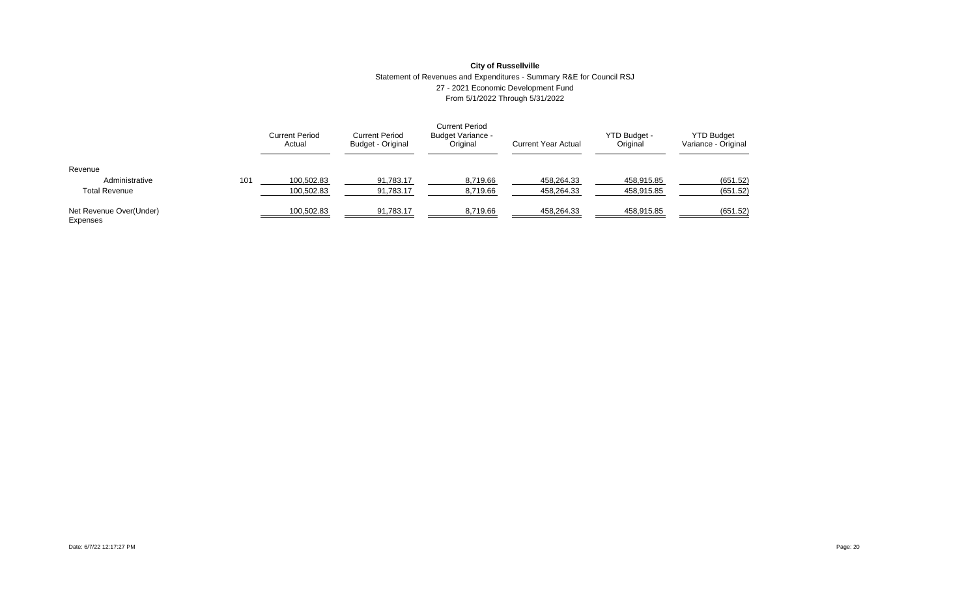### **City of Russellville** Statement of Revenues and Expenditures - Summary R&E for Council RSJ 27 - 2021 Economic Development Fund From 5/1/2022 Through 5/31/2022

|                                     |     | <b>Current Period</b><br>Actual | <b>Current Period</b><br>Budget - Original | <b>Current Period</b><br><b>Budget Variance -</b><br>Original | <b>Current Year Actual</b> | YTD Budget -<br>Original | <b>YTD Budget</b><br>Variance - Original |
|-------------------------------------|-----|---------------------------------|--------------------------------------------|---------------------------------------------------------------|----------------------------|--------------------------|------------------------------------------|
| Revenue                             |     |                                 |                                            |                                                               |                            |                          |                                          |
| Administrative                      | 101 | 100,502.83                      | 91,783.17                                  | 8,719.66                                                      | 458.264.33                 | 458,915.85               | (651.52)                                 |
| <b>Total Revenue</b>                |     | 100,502.83                      | 91,783.17                                  | 8,719.66                                                      | 458,264.33                 | 458,915.85               | (651.52)                                 |
| Net Revenue Over(Under)<br>Expenses |     | 100,502.83                      | 91,783.17                                  | 8,719.66                                                      | 458.264.33                 | 458,915.85               | (651.52)                                 |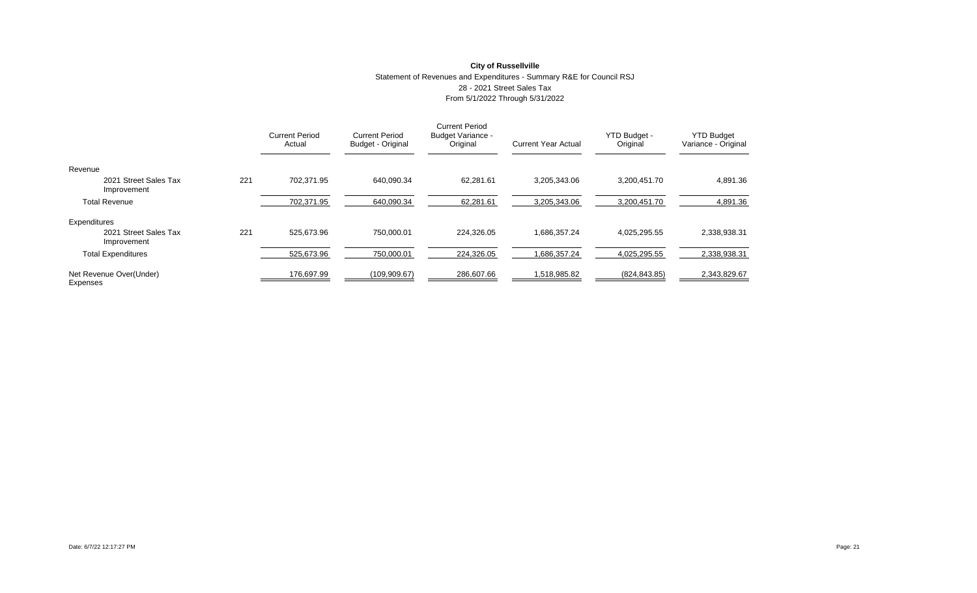### **City of Russellville** Statement of Revenues and Expenditures - Summary R&E for Council RSJ 28 - 2021 Street Sales Tax From 5/1/2022 Through 5/31/2022

|                                      |     | <b>Current Period</b><br>Actual | <b>Current Period</b><br>Budget - Original | <b>Current Period</b><br>Budget Variance -<br>Original | <b>Current Year Actual</b> | YTD Budget -<br>Original | <b>YTD Budget</b><br>Variance - Original |
|--------------------------------------|-----|---------------------------------|--------------------------------------------|--------------------------------------------------------|----------------------------|--------------------------|------------------------------------------|
| Revenue                              |     |                                 |                                            |                                                        |                            |                          |                                          |
| 2021 Street Sales Tax<br>Improvement | 221 | 702.371.95                      | 640.090.34                                 | 62.281.61                                              | 3.205.343.06               | 3.200.451.70             | 4,891.36                                 |
| <b>Total Revenue</b>                 |     | 702,371.95                      | 640,090.34                                 | 62,281.61                                              | 3,205,343.06               | 3,200,451.70             | 4,891.36                                 |
| Expenditures                         |     |                                 |                                            |                                                        |                            |                          |                                          |
| 2021 Street Sales Tax<br>Improvement | 221 | 525.673.96                      | 750.000.01                                 | 224.326.05                                             | 1.686.357.24               | 4.025.295.55             | 2,338,938.31                             |
| <b>Total Expenditures</b>            |     | 525,673.96                      | 750,000.01                                 | 224,326.05                                             | 1,686,357.24               | 4,025,295.55             | 2,338,938.31                             |
| Net Revenue Over(Under)<br>Expenses  |     | 176,697.99                      | (109,909.67)                               | 286,607.66                                             | 1,518,985.82               | (824, 843.85)            | 2,343,829.67                             |